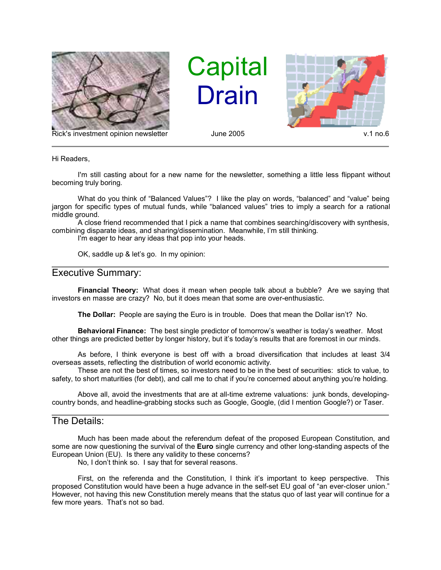

Rick's investment opinion newsletter and June 2005 v.1 no.6

**Capital Drain** 



Hi Readers,

I'm still casting about for a new name for the newsletter, something a little less flippant without becoming truly boring.

What do you think of "Balanced Values"? I like the play on words, "balanced" and "value" being jargon for specific types of mutual funds, while "balanced values" tries to imply a search for a rational middle ground.

A close friend recommended that I pick a name that combines searching/discovery with synthesis, combining disparate ideas, and sharing/dissemination. Meanwhile, I'm still thinking.

I'm eager to hear any ideas that pop into your heads.

OK, saddle up & let's go. In my opinion:

## Executive Summary:

**Financial Theory:** What does it mean when people talk about a bubble? Are we saying that investors en masse are crazy? No, but it does mean that some are over-enthusiastic.

**The Dollar:** People are saying the Euro is in trouble. Does that mean the Dollar isn't? No.

**Behavioral Finance:** The best single predictor of tomorrow's weather is today's weather. Most other things are predicted better by longer history, but it's today's results that are foremost in our minds.

As before, I think everyone is best off with a broad diversification that includes at least 3/4 overseas assets, reflecting the distribution of world economic activity.

These are not the best of times, so investors need to be in the best of securities: stick to value, to safety, to short maturities (for debt), and call me to chat if you're concerned about anything you're holding.

Above all, avoid the investments that are at all-time extreme valuations: junk bonds, developingcountry bonds, and headline-grabbing stocks such as Google, Google, (did I mention Google?) or Taser.

## The Details:

Much has been made about the referendum defeat of the proposed European Constitution, and some are now questioning the survival of the **Euro** single currency and other long-standing aspects of the European Union (EU). Is there any validity to these concerns?

No, I don't think so. I say that for several reasons.

First, on the referenda and the Constitution, I think it's important to keep perspective. This proposed Constitution would have been a huge advance in the self-set EU goal of "an ever-closer union." However, not having this new Constitution merely means that the status quo of last year will continue for a few more years. That's not so bad.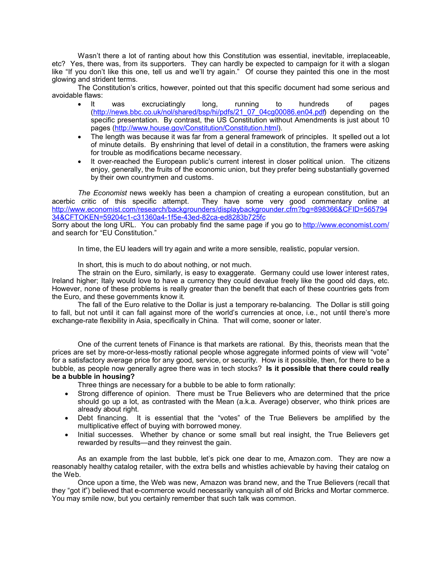Wasn't there a lot of ranting about how this Constitution was essential, inevitable, irreplaceable, etc? Yes, there was, from its supporters. They can hardly be expected to campaign for it with a slogan like "If you don't like this one, tell us and we'll try again." Of course they painted this one in the most glowing and strident terms.

The Constitution's critics, however, pointed out that this specific document had some serious and avoidable flaws:

- It was excruciatingly long, running to hundreds of pages (http://news.bbc.co.uk/nol/shared/bsp/hi/pdfs/21\_07\_04cg00086.en04.pdf) depending on the specific presentation. By contrast, the US Constitution without Amendments is just about 10 pages (http://www.house.gov/Constitution/Constitution.html).
- The length was because it was far from a general framework of principles. It spelled out a lot of minute details. By enshrining that level of detail in a constitution, the framers were asking for trouble as modifications became necessary.
- It over-reached the European public's current interest in closer political union. The citizens enjoy, generally, the fruits of the economic union, but they prefer being substantially governed by their own countrymen and customs.

*The Economist* news weekly has been a champion of creating a european constitution, but an acerbic critic of this specific attempt. They have some very good commentary online at http://www.economist.com/research/backgrounders/displaybackgrounder.cfm?bg=898366&CFID=565794 34&CFTOKEN=59204c1-c31360a4-1f5e-43ed-82ca-ed8283b725fc

Sorry about the long URL. You can probably find the same page if you go to http://www.economist.com/ and search for "EU Constitution."

In time, the EU leaders will try again and write a more sensible, realistic, popular version.

In short, this is much to do about nothing, or not much.

The strain on the Euro, similarly, is easy to exaggerate. Germany could use lower interest rates, Ireland higher; Italy would love to have a currency they could devalue freely like the good old days, etc. However, none of these problems is really greater than the benefit that each of these countries gets from the Euro, and these governments know it.

The fall of the Euro relative to the Dollar is just a temporary re-balancing. The Dollar is still going to fall, but not until it can fall against more of the world's currencies at once, i.e., not until there's more exchange-rate flexibility in Asia, specifically in China. That will come, sooner or later.

One of the current tenets of Finance is that markets are rational. By this, theorists mean that the prices are set by more-or-less-mostly rational people whose aggregate informed points of view will "vote" for a satisfactory average price for any good, service, or security. How is it possible, then, for there to be a bubble, as people now generally agree there was in tech stocks? **Is it possible that there could really be a bubble in housing?**

Three things are necessary for a bubble to be able to form rationally:

- Strong difference of opinion. There must be True Believers who are determined that the price should go up a lot, as contrasted with the Mean (a.k.a. Average) observer, who think prices are already about right.
- Debt financing. It is essential that the "votes" of the True Believers be amplified by the multiplicative effect of buying with borrowed money.
- Initial successes. Whether by chance or some small but real insight, the True Believers get rewarded by results—and they reinvest the gain.

As an example from the last bubble, let's pick one dear to me, Amazon.com. They are now a reasonably healthy catalog retailer, with the extra bells and whistles achievable by having their catalog on the Web.

Once upon a time, the Web was new, Amazon was brand new, and the True Believers (recall that they "got it") believed that e-commerce would necessarily vanquish all of old Bricks and Mortar commerce. You may smile now, but you certainly remember that such talk was common.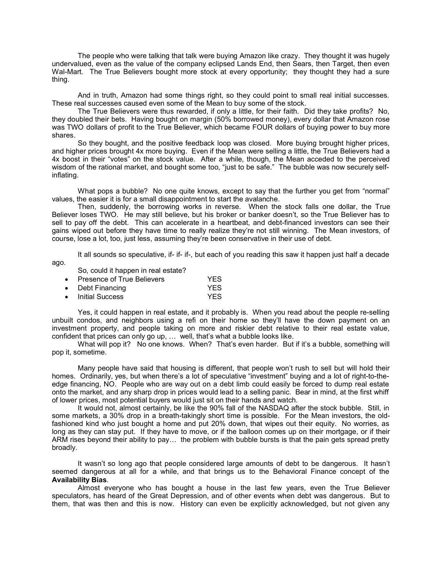The people who were talking that talk were buying Amazon like crazy. They thought it was hugely undervalued, even as the value of the company eclipsed Lands End, then Sears, then Target, then even Wal-Mart. The True Believers bought more stock at every opportunity; they thought they had a sure thing.

And in truth, Amazon had some things right, so they could point to small real initial successes. These real successes caused even some of the Mean to buy some of the stock.

The True Believers were thus rewarded, if only a little, for their faith. Did they take profits? No, they doubled their bets. Having bought on margin (50% borrowed money), every dollar that Amazon rose was TWO dollars of profit to the True Believer, which became FOUR dollars of buying power to buy more shares.

So they bought, and the positive feedback loop was closed. More buying brought higher prices, and higher prices brought 4x more buying. Even if the Mean were selling a little, the True Believers had a 4x boost in their "votes" on the stock value. After a while, though, the Mean acceded to the perceived wisdom of the rational market, and bought some too, "just to be safe." The bubble was now securely selfinflating.

What pops a bubble? No one quite knows, except to say that the further you get from "normal" values, the easier it is for a small disappointment to start the avalanche.

Then, suddenly, the borrowing works in reverse. When the stock falls one dollar, the True Believer loses TWO. He may still believe, but his broker or banker doesn't, so the True Believer has to sell to pay off the debt. This can accelerate in a heartbeat, and debt-financed investors can see their gains wiped out before they have time to really realize they're not still winning. The Mean investors, of course, lose a lot, too, just less, assuming they're been conservative in their use of debt.

It all sounds so speculative, if- if- if-, but each of you reading this saw it happen just half a decade ago.

So, could it happen in real estate?

| Presence of True Believers | YES. |
|----------------------------|------|
|                            |      |

- Debt Financing YES
- Initial Success YES

Yes, it could happen in real estate, and it probably is. When you read about the people re-selling unbuilt condos, and neighbors using a refi on their home so they'll have the down payment on an investment property, and people taking on more and riskier debt relative to their real estate value, confident that prices can only go up, … well, that's what a bubble looks like.

What will pop it? No one knows. When? That's even harder. But if it's a bubble, something will pop it, sometime.

Many people have said that housing is different, that people won't rush to sell but will hold their homes. Ordinarily, yes, but when there's a lot of speculative "investment" buying and a lot of right-to-theedge financing, NO. People who are way out on a debt limb could easily be forced to dump real estate onto the market, and any sharp drop in prices would lead to a selling panic. Bear in mind, at the first whiff of lower prices, most potential buyers would just sit on their hands and watch.

It would not, almost certainly, be like the 90% fall of the NASDAQ after the stock bubble. Still, in some markets, a 30% drop in a breath-takingly short time is possible. For the Mean investors, the oldfashioned kind who just bought a home and put 20% down, that wipes out their equity. No worries, as long as they can stay put. If they have to move, or if the balloon comes up on their mortgage, or if their ARM rises beyond their ability to pay… the problem with bubble bursts is that the pain gets spread pretty broadly.

It wasn't so long ago that people considered large amounts of debt to be dangerous. It hasn't seemed dangerous at all for a while, and that brings us to the Behavioral Finance concept of the **Availability Bias**.

Almost everyone who has bought a house in the last few years, even the True Believer speculators, has heard of the Great Depression, and of other events when debt was dangerous. But to them, that was then and this is now. History can even be explicitly acknowledged, but not given any